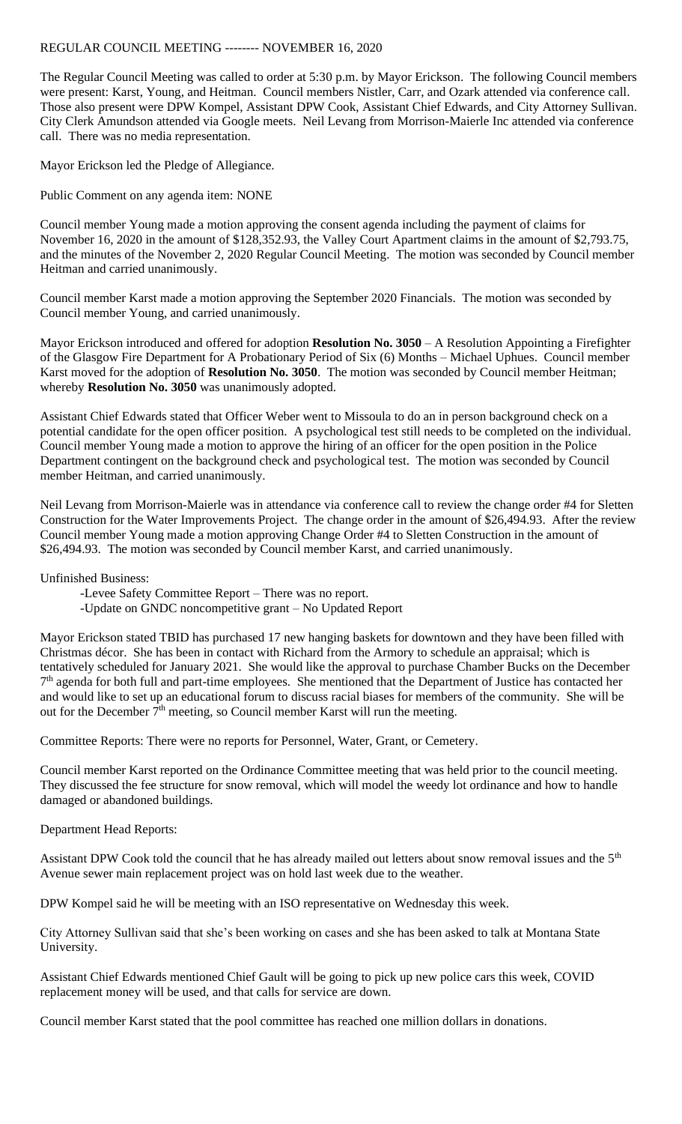## REGULAR COUNCIL MEETING -------- NOVEMBER 16, 2020

The Regular Council Meeting was called to order at 5:30 p.m. by Mayor Erickson. The following Council members were present: Karst, Young, and Heitman. Council members Nistler, Carr, and Ozark attended via conference call. Those also present were DPW Kompel, Assistant DPW Cook, Assistant Chief Edwards, and City Attorney Sullivan. City Clerk Amundson attended via Google meets. Neil Levang from Morrison-Maierle Inc attended via conference call. There was no media representation.

Mayor Erickson led the Pledge of Allegiance.

Public Comment on any agenda item: NONE

Council member Young made a motion approving the consent agenda including the payment of claims for November 16, 2020 in the amount of \$128,352.93, the Valley Court Apartment claims in the amount of \$2,793.75, and the minutes of the November 2, 2020 Regular Council Meeting. The motion was seconded by Council member Heitman and carried unanimously.

Council member Karst made a motion approving the September 2020 Financials. The motion was seconded by Council member Young, and carried unanimously.

Mayor Erickson introduced and offered for adoption **Resolution No. 3050** – A Resolution Appointing a Firefighter of the Glasgow Fire Department for A Probationary Period of Six (6) Months – Michael Uphues. Council member Karst moved for the adoption of **Resolution No. 3050**. The motion was seconded by Council member Heitman; whereby **Resolution No. 3050** was unanimously adopted.

Assistant Chief Edwards stated that Officer Weber went to Missoula to do an in person background check on a potential candidate for the open officer position. A psychological test still needs to be completed on the individual. Council member Young made a motion to approve the hiring of an officer for the open position in the Police Department contingent on the background check and psychological test. The motion was seconded by Council member Heitman, and carried unanimously.

Neil Levang from Morrison-Maierle was in attendance via conference call to review the change order #4 for Sletten Construction for the Water Improvements Project. The change order in the amount of \$26,494.93. After the review Council member Young made a motion approving Change Order #4 to Sletten Construction in the amount of \$26,494.93. The motion was seconded by Council member Karst, and carried unanimously.

Unfinished Business:

- -Levee Safety Committee Report There was no report.
- -Update on GNDC noncompetitive grant No Updated Report

Mayor Erickson stated TBID has purchased 17 new hanging baskets for downtown and they have been filled with Christmas décor. She has been in contact with Richard from the Armory to schedule an appraisal; which is tentatively scheduled for January 2021. She would like the approval to purchase Chamber Bucks on the December 7<sup>th</sup> agenda for both full and part-time employees. She mentioned that the Department of Justice has contacted her and would like to set up an educational forum to discuss racial biases for members of the community. She will be out for the December  $7<sup>th</sup>$  meeting, so Council member Karst will run the meeting.

Committee Reports: There were no reports for Personnel, Water, Grant, or Cemetery.

Council member Karst reported on the Ordinance Committee meeting that was held prior to the council meeting. They discussed the fee structure for snow removal, which will model the weedy lot ordinance and how to handle damaged or abandoned buildings.

## Department Head Reports:

Assistant DPW Cook told the council that he has already mailed out letters about snow removal issues and the 5<sup>th</sup> Avenue sewer main replacement project was on hold last week due to the weather.

DPW Kompel said he will be meeting with an ISO representative on Wednesday this week.

City Attorney Sullivan said that she's been working on cases and she has been asked to talk at Montana State University.

Assistant Chief Edwards mentioned Chief Gault will be going to pick up new police cars this week, COVID replacement money will be used, and that calls for service are down.

Council member Karst stated that the pool committee has reached one million dollars in donations.